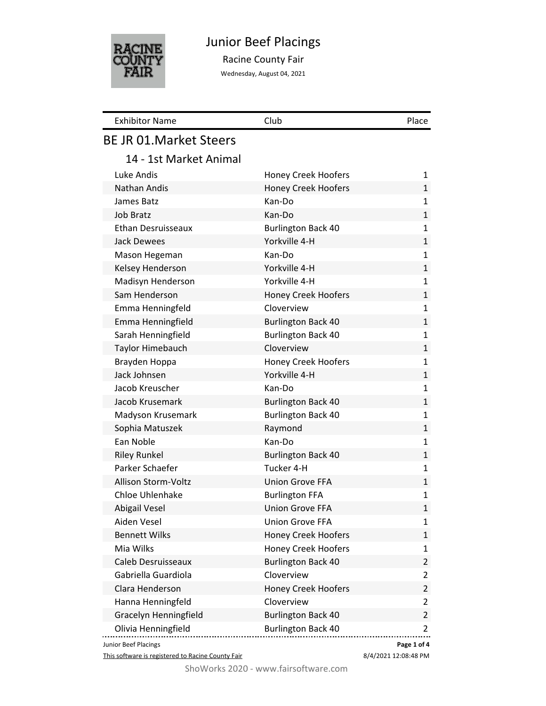

# Junior Beef Placings

Racine County Fair

Wednesday, August 04, 2021

| <b>Exhibitor Name</b>          | Club                       | Place          |
|--------------------------------|----------------------------|----------------|
| <b>BE JR 01. Market Steers</b> |                            |                |
| 14 - 1st Market Animal         |                            |                |
| Luke Andis                     | <b>Honey Creek Hoofers</b> | 1              |
| Nathan Andis                   | <b>Honey Creek Hoofers</b> | 1              |
| James Batz                     | Kan-Do                     | 1              |
| <b>Job Bratz</b>               | Kan-Do                     | 1              |
| Ethan Desruisseaux             | <b>Burlington Back 40</b>  | 1              |
| <b>Jack Dewees</b>             | Yorkville 4-H              | 1              |
| Mason Hegeman                  | Kan-Do                     | 1              |
| Kelsey Henderson               | Yorkville 4-H              | $\mathbf{1}$   |
| Madisyn Henderson              | Yorkville 4-H              | 1              |
| Sam Henderson                  | Honey Creek Hoofers        | 1              |
| Emma Henningfeld               | Cloverview                 | 1              |
| Emma Henningfield              | <b>Burlington Back 40</b>  | $\mathbf{1}$   |
| Sarah Henningfield             | <b>Burlington Back 40</b>  | 1              |
| Taylor Himebauch               | Cloverview                 | $\mathbf 1$    |
| Brayden Hoppa                  | <b>Honey Creek Hoofers</b> | 1              |
| Jack Johnsen                   | Yorkville 4-H              | $\mathbf{1}$   |
| Jacob Kreuscher                | Kan-Do                     | 1              |
| Jacob Krusemark                | <b>Burlington Back 40</b>  | $\mathbf 1$    |
| Madyson Krusemark              | <b>Burlington Back 40</b>  | 1              |
| Sophia Matuszek                | Raymond                    | $\mathbf{1}$   |
| Ean Noble                      | Kan-Do                     | 1              |
| <b>Riley Runkel</b>            | <b>Burlington Back 40</b>  | $\mathbf{1}$   |
| Parker Schaefer                | Tucker 4-H                 | 1              |
| Allison Storm-Voltz            | <b>Union Grove FFA</b>     | 1              |
| Chloe Uhlenhake                | <b>Burlington FFA</b>      | 1              |
| Abigail Vesel                  | <b>Union Grove FFA</b>     | $\mathbf{1}$   |
| Aiden Vesel                    | <b>Union Grove FFA</b>     | 1              |
| <b>Bennett Wilks</b>           | <b>Honey Creek Hoofers</b> | $\mathbf{1}$   |
| Mia Wilks                      | Honey Creek Hoofers        | 1              |
| Caleb Desruisseaux             | <b>Burlington Back 40</b>  | 2              |
| Gabriella Guardiola            | Cloverview                 | 2              |
| Clara Henderson                | Honey Creek Hoofers        | 2              |
| Hanna Henningfeld              | Cloverview                 | 2              |
| <b>Gracelyn Henningfield</b>   | <b>Burlington Back 40</b>  | $\overline{2}$ |
| Olivia Henningfield            | <b>Burlington Back 40</b>  | 2              |
| Junior Beef Placings           |                            | Page 1 of 4    |

This software is registered to Racine County Fair

8/4/2021 12:08:48 PM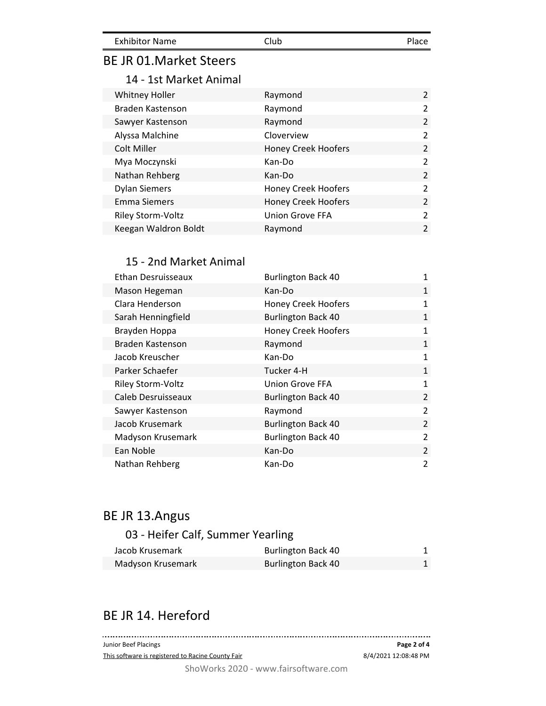| <b>Exhibitor Name</b> | Club | Place |
|-----------------------|------|-------|
|                       |      |       |

### BE JR 01.Market Steers

### 14 - 1st Market Animal

| <b>Whitney Holler</b> | Raymond                    | $\overline{2}$ |
|-----------------------|----------------------------|----------------|
| Braden Kastenson      | Raymond                    | $\overline{2}$ |
| Sawyer Kastenson      | Raymond                    | $\overline{2}$ |
| Alyssa Malchine       | Cloverview                 | $\mathcal{P}$  |
| Colt Miller           | <b>Honey Creek Hoofers</b> | $\overline{2}$ |
| Mya Moczynski         | Kan-Do                     | $\overline{2}$ |
| Nathan Rehberg        | Kan-Do                     | $\mathcal{P}$  |
| <b>Dylan Siemers</b>  | Honey Creek Hoofers        | $\mathcal{P}$  |
| <b>Emma Siemers</b>   | <b>Honey Creek Hoofers</b> | $\mathfrak{D}$ |
| Riley Storm-Voltz     | <b>Union Grove FFA</b>     | $\mathcal{L}$  |
| Keegan Waldron Boldt  | Raymond                    | $\mathfrak{p}$ |

#### 15 - 2nd Market Animal

| Ethan Desruisseaux | <b>Burlington Back 40</b>  | 1              |
|--------------------|----------------------------|----------------|
| Mason Hegeman      | Kan-Do                     | $\mathbf{1}$   |
| Clara Henderson    | <b>Honey Creek Hoofers</b> | 1              |
| Sarah Henningfield | <b>Burlington Back 40</b>  | 1              |
| Brayden Hoppa      | <b>Honey Creek Hoofers</b> | 1              |
| Braden Kastenson   | Raymond                    | $\mathbf{1}$   |
| Jacob Kreuscher    | Kan-Do                     | 1              |
| Parker Schaefer    | Tucker 4-H                 | $\mathbf{1}$   |
| Riley Storm-Voltz  | <b>Union Grove FFA</b>     | $\mathbf{1}$   |
| Caleb Desruisseaux | <b>Burlington Back 40</b>  | $\overline{2}$ |
| Sawyer Kastenson   | Raymond                    | $\overline{2}$ |
| Jacob Krusemark    | <b>Burlington Back 40</b>  | $\mathcal{P}$  |
| Madyson Krusemark  | <b>Burlington Back 40</b>  | $\overline{2}$ |
| Ean Noble          | Kan-Do                     | 2              |
| Nathan Rehberg     | Kan-Do                     | $\overline{2}$ |

# BE JR 13.Angus

## 03 - Heifer Calf, Summer Yearling

| Jacob Krusemark   | <b>Burlington Back 40</b> |  |
|-------------------|---------------------------|--|
| Madyson Krusemark | <b>Burlington Back 40</b> |  |

## BE JR 14. Hereford

| Junior Beef Placings                              | Page 2 of 4          |
|---------------------------------------------------|----------------------|
| This software is registered to Racine County Fair | 8/4/2021 12:08:48 PM |
| ShoWorks 2020 - www.fairsoftware.com              |                      |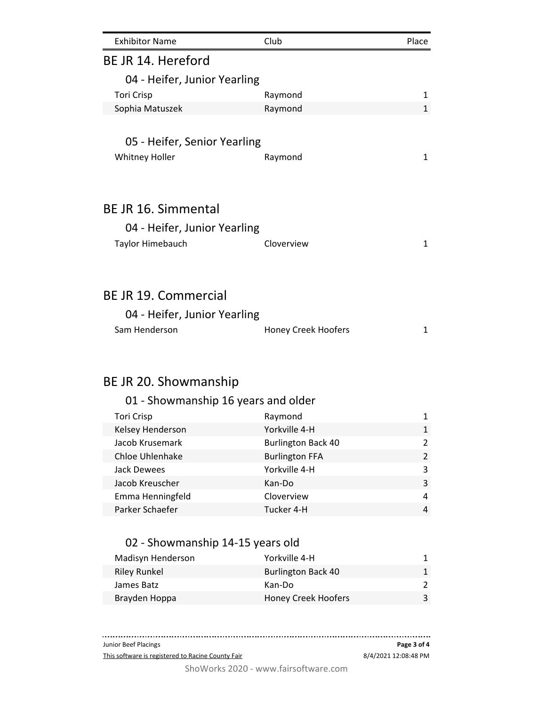| <b>Exhibitor Name</b>                                                        | Club                       | Place |
|------------------------------------------------------------------------------|----------------------------|-------|
| BE JR 14. Hereford                                                           |                            |       |
| 04 - Heifer, Junior Yearling                                                 |                            |       |
| <b>Tori Crisp</b>                                                            | Raymond                    | 1     |
| Sophia Matuszek                                                              | Raymond                    | 1     |
| 05 - Heifer, Senior Yearling<br><b>Whitney Holler</b>                        | Raymond                    | 1     |
|                                                                              |                            |       |
| BE JR 16. Simmental<br>04 - Heifer, Junior Yearling<br>Taylor Himebauch      | Cloverview                 | 1     |
| <b>BE JR 19. Commercial</b><br>04 - Heifer, Junior Yearling<br>Sam Henderson | <b>Honey Creek Hoofers</b> | 1     |

## BE JR 20. Showmanship

### 01 - Showmanship 16 years and older Tori Crisp **Raymond** 1 Kelsey Henderson **Notify 1** Yorkville 4-H 1 Jacob Krusemark **Burlington Back 40** 2 Chloe Uhlenhake Burlington FFA 2 Jack Dewees 2012 2013 2014 2014 2014 2014 2022 2023 Jacob Kreuscher Kan-Do 3 Emma Henningfeld **Cloverview Contact Cloverview** 4 Parker Schaefer Tucker 4-H 4

#### 02 - Showmanship 14-15 years old

| Madisyn Henderson   | Yorkville 4-H              |   |
|---------------------|----------------------------|---|
| <b>Riley Runkel</b> | <b>Burlington Back 40</b>  |   |
| James Batz          | Kan-Do                     |   |
| Brayden Hoppa       | <b>Honey Creek Hoofers</b> | 3 |
|                     |                            |   |

ShoWorks 2020 - www.fairsoftware.com